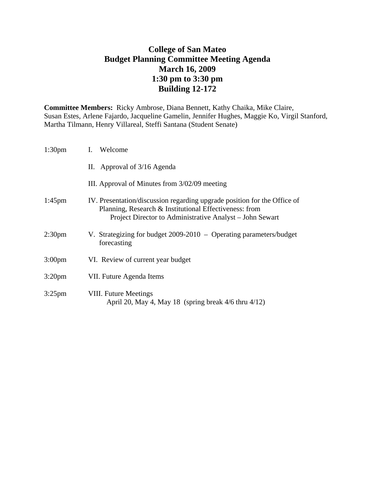# **College of San Mateo Budget Planning Committee Meeting Agenda March 16, 2009 1:30 pm to 3:30 pm Building 12-172**

**Committee Members:** Ricky Ambrose, Diana Bennett, Kathy Chaika, Mike Claire, Susan Estes, Arlene Fajardo, Jacqueline Gamelin, Jennifer Hughes, Maggie Ko, Virgil Stanford, Martha Tilmann, Henry Villareal, Steffi Santana (Student Senate)

| 1:30 <sub>pm</sub> | I. Welcome                                                                                                                                                                                     |
|--------------------|------------------------------------------------------------------------------------------------------------------------------------------------------------------------------------------------|
|                    | II. Approval of 3/16 Agenda                                                                                                                                                                    |
|                    | III. Approval of Minutes from 3/02/09 meeting                                                                                                                                                  |
| $1:45$ pm          | IV. Presentation/discussion regarding upgrade position for the Office of<br>Planning, Research & Institutional Effectiveness: from<br>Project Director to Administrative Analyst – John Sewart |
| 2:30 <sub>pm</sub> | V. Strategizing for budget $2009-2010$ – Operating parameters/budget<br>forecasting                                                                                                            |
| 3:00pm             | VI. Review of current year budget                                                                                                                                                              |
| 3:20 <sub>pm</sub> | VII. Future Agenda Items                                                                                                                                                                       |
| $3:25$ pm          | <b>VIII. Future Meetings</b><br>April 20, May 4, May 18 (spring break $4/6$ thru $4/12$ )                                                                                                      |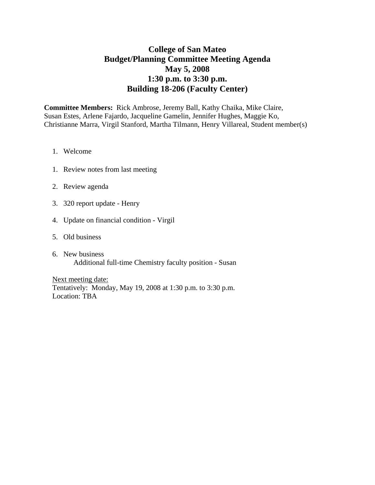# **College of San Mateo Budget/Planning Committee Meeting Agenda May 5, 2008 1:30 p.m. to 3:30 p.m. Building 18-206 (Faculty Center)**

**Committee Members:** Rick Ambrose, Jeremy Ball, Kathy Chaika, Mike Claire, Susan Estes, Arlene Fajardo, Jacqueline Gamelin, Jennifer Hughes, Maggie Ko, Christianne Marra, Virgil Stanford, Martha Tilmann, Henry Villareal, Student member(s)

- 1. Welcome
- 1. Review notes from last meeting
- 2. Review agenda
- 3. 320 report update Henry
- 4. Update on financial condition Virgil
- 5. Old business
- 6. New business Additional full-time Chemistry faculty position - Susan

Next meeting date: Tentatively: Monday, May 19, 2008 at 1:30 p.m. to 3:30 p.m. Location: TBA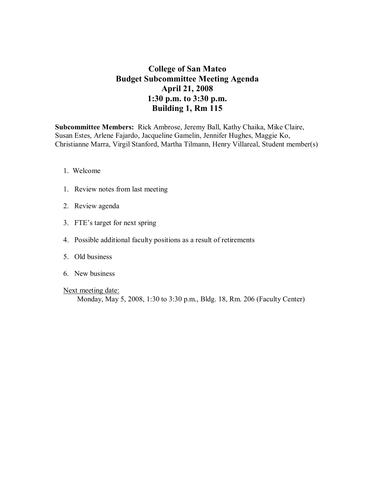### **College of San Mateo Budget Subcommittee Meeting Agenda April 21, 2008 1:30 p.m. to 3:30 p.m. Building 1, Rm 115**

**Subcommittee Members:** Rick Ambrose, Jeremy Ball, Kathy Chaika, Mike Claire, Susan Estes, Arlene Fajardo, Jacqueline Gamelin, Jennifer Hughes, Maggie Ko, Christianne Marra, Virgil Stanford, Martha Tilmann, Henry Villareal, Student member(s)

- 1. Welcome
- 1. Review notes from last meeting
- 2. Review agenda
- 3. FTE's target for next spring
- 4. Possible additional faculty positions as a result of retirements
- 5. Old business
- 6. New business
- Next meeting date:

Monday, May 5, 2008, 1:30 to 3:30 p.m., Bldg. 18, Rm. 206 (Faculty Center)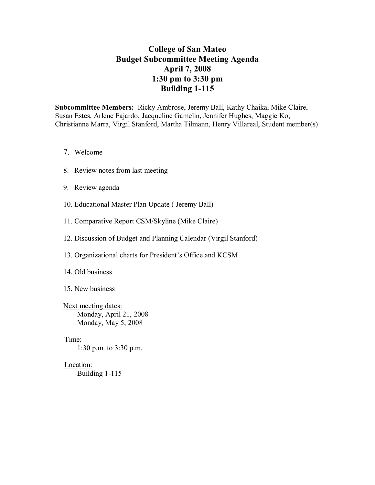# **College of San Mateo Budget Subcommittee Meeting Agenda April 7, 2008 1:30 pm to 3:30 pm Building 1-115**

**Subcommittee Members:** Ricky Ambrose, Jeremy Ball, Kathy Chaika, Mike Claire, Susan Estes, Arlene Fajardo, Jacqueline Gamelin, Jennifer Hughes, Maggie Ko, Christianne Marra, Virgil Stanford, Martha Tilmann, Henry Villareal, Student member(s)

- 7. Welcome
- 8. Review notes from last meeting
- 9. Review agenda
- 10. Educational Master Plan Update ( Jeremy Ball)
- 11. Comparative Report CSM/Skyline (Mike Claire)
- 12. Discussion of Budget and Planning Calendar (Virgil Stanford)
- 13. Organizational charts for President's Office and KCSM
- 14. Old business
- 15. New business

Next meeting dates: Monday, April 21, 2008 Monday, May 5, 2008

#### Time:

1:30 p.m. to 3:30 p.m.

#### Location:

Building  $1-115$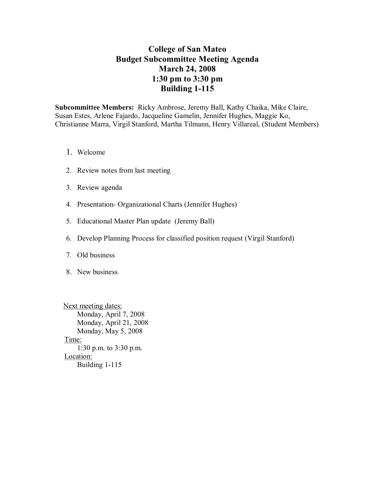# **College of San Mateo Budget Subcommittee Meeting Agenda March 24, 2008 1:30 pm to 3:30 pm Building 1-115**

**Subcommittee Members:** Ricky Ambrose, Jeremy Ball, Kathy Chaika, Mike Claire, Susan Estes, Arlene Fajardo, Jacqueline Gamelin, Jennifer Hughes, Maggie Ko, Christianne Marra, Virgil Stanford, Martha Tilmann, Henry Villareal, (Student Members)

- 1. Welcome
- 2. Review notes from last meeting
- 3. Review agenda
- 4. Presentation-Organizational Charts (Jennifer Hughes)
- 5. Educational Master Plan update (Jeremy Ball)
- 6. Develop Planning Process for classified position request (Virgil Stanford)
- 7. Old business
- 8. New business

Next meeting dates: Monday, April 7, 2008 Monday, April 21, 2008 Monday, May 5, 2008 Time: 1:30 p.m. to 3:30 p.m. Location: Building  $1-115$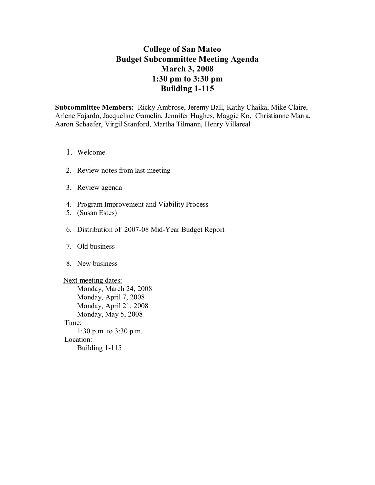# **College of San Mateo Budget Subcommittee Meeting Agenda March 3,2008 1:30 pm to 3:30 pm Building 1-115**

**Subcommittee Members:** Ricky Ambrose, Jeremy Ball, Kathy Chaika, Mike Claire, Arlene Fajardo, Jacqueline Gamelin, Jennifer Hughes, Maggie Ko, Christianne Marra, Aaron Schaefer, Virgil Stanford, Martha Tilmann, Henry Villareal

- 1. Welcome
- 2. Review notes from last meeting
- 3. Review agenda
- 4. Program Improvement and Viability Process
- 5. (Susan Estes)
- 6. Distribution of 2007-08 Mid-Year Budget Report
- 7. Old business
- 8. New business

Next meeting dates: Monday, March 24, 2008 Monday, April 7, 2008 Monday, April 21, 2008 Monday, May 5, 2008 Time: 1:30 p.m. to 3:30 p.m. Location: Building  $1-115$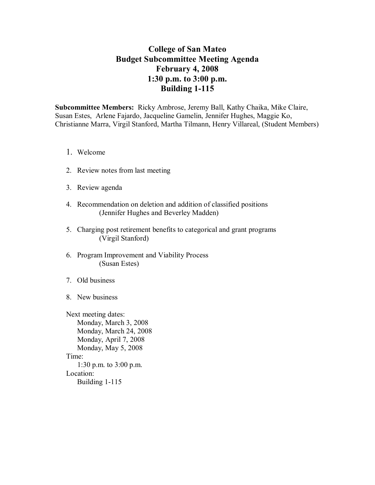# **College of San Mateo Budget Subcommittee Meeting Agenda February 4, 2008 1:30 p.m. to 3:00 p.m. Building 1-115**

**Subcommittee Members:** Ricky Ambrose, Jeremy Ball, Kathy Chaika, Mike Claire, Susan Estes, Arlene Fajardo, Jacqueline Gamelin, Jennifer Hughes, Maggie Ko, Christianne Marra, Virgil Stanford, Martha Tilmann, Henry Villareal, (Student Members)

- 1. Welcome
- 2. Review notes from last meeting
- 3. Review agenda
- 4. Recommendation on deletion and addition of classified positions (Jennifer Hughes and Beverley Madden)
- 5. Charging post retirement benefits to categorical and grant programs (Virgil Stanford)
- 6. Program Improvement and Viability Process (Susan Estes)
- 7. Old business
- 8. New business

Next meeting dates: Monday, March 3, 2008 Monday, March 24, 2008 Monday, April 7, 2008 Monday, May 5, 2008 Time: 1:30 p.m. to 3:00 p.m. Location: Building  $1-115$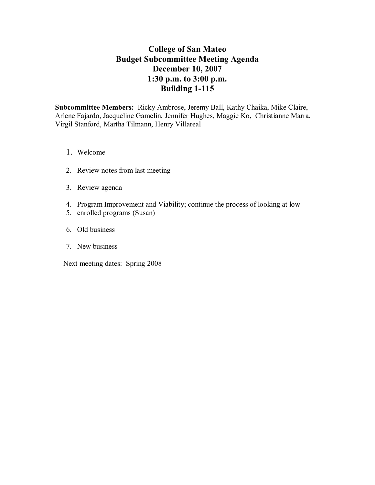# **College of San Mateo Budget Subcommittee Meeting Agenda December 10, 2007 1:30 p.m. to 3:00 p.m. Building 1-115**

**Subcommittee Members:** Ricky Ambrose, Jeremy Ball, Kathy Chaika, Mike Claire, Arlene Fajardo, Jacqueline Gamelin, Jennifer Hughes, Maggie Ko, Christianne Marra, Virgil Stanford, Martha Tilmann, Henry Villareal

- 1. Welcome
- 2. Review notes from last meeting
- 3. Review agenda
- 4. Program Improvement and Viability; continue the process of looking at low
- 5. enrolled programs (Susan)
- 6. Old business
- 7. New business

Next meeting dates: Spring 2008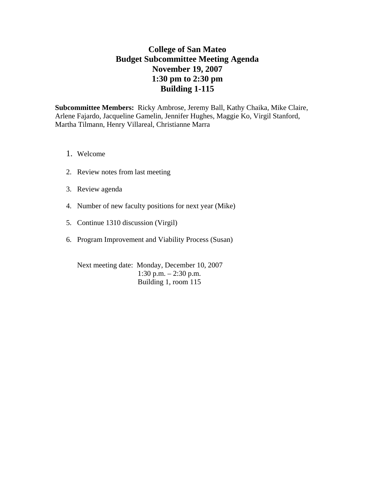# **College of San Mateo Budget Subcommittee Meeting Agenda November 19, 2007 1:30 pm to 2:30 pm Building 1-115**

**Subcommittee Members:** Ricky Ambrose, Jeremy Ball, Kathy Chaika, Mike Claire, Arlene Fajardo, Jacqueline Gamelin, Jennifer Hughes, Maggie Ko, Virgil Stanford, Martha Tilmann, Henry Villareal, Christianne Marra

- 1. Welcome
- 2. Review notes from last meeting
- 3. Review agenda
- 4. Number of new faculty positions for next year (Mike)
- 5. Continue 1310 discussion (Virgil)
- 6. Program Improvement and Viability Process (Susan)

Next meeting date: Monday, December 10, 2007 1:30 p.m. – 2:30 p.m. Building 1, room 115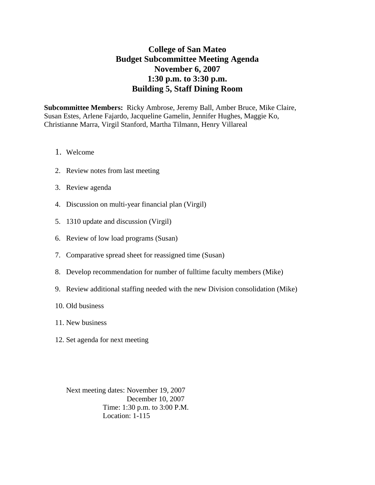# **College of San Mateo Budget Subcommittee Meeting Agenda November 6, 2007 1:30 p.m. to 3:30 p.m. Building 5, Staff Dining Room**

**Subcommittee Members:** Ricky Ambrose, Jeremy Ball, Amber Bruce, Mike Claire, Susan Estes, Arlene Fajardo, Jacqueline Gamelin, Jennifer Hughes, Maggie Ko, Christianne Marra, Virgil Stanford, Martha Tilmann, Henry Villareal

- 1. Welcome
- 2. Review notes from last meeting
- 3. Review agenda
- 4. Discussion on multi-year financial plan (Virgil)
- 5. 1310 update and discussion (Virgil)
- 6. Review of low load programs (Susan)
- 7. Comparative spread sheet for reassigned time (Susan)
- 8. Develop recommendation for number of fulltime faculty members (Mike)
- 9. Review additional staffing needed with the new Division consolidation (Mike)
- 10. Old business
- 11. New business
- 12. Set agenda for next meeting

Next meeting dates: November 19, 2007 December 10, 2007 Time: 1:30 p.m. to 3:00 P.M. Location: 1-115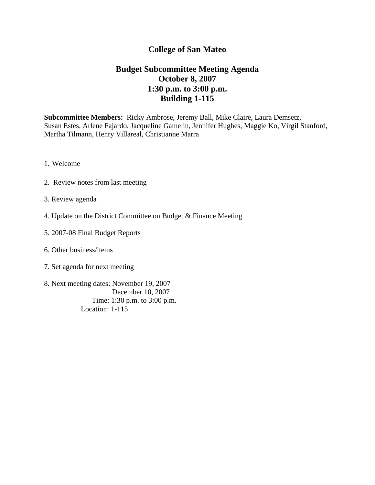### **Budget Subcommittee Meeting Agenda October 8, 2007 1:30 p.m. to 3:00 p.m. Building 1-115**

**Subcommittee Members:** Ricky Ambrose, Jeremy Ball, Mike Claire, Laura Demsetz, Susan Estes, Arlene Fajardo, Jacqueline Gamelin, Jennifer Hughes, Maggie Ko, Virgil Stanford, Martha Tilmann, Henry Villareal, Christianne Marra

- 1. Welcome
- 2. Review notes from last meeting
- 3. Review agenda
- 4. Update on the District Committee on Budget & Finance Meeting
- 5. 2007-08 Final Budget Reports
- 6. Other business/items
- 7. Set agenda for next meeting
- 8. Next meeting dates: November 19, 2007 December 10, 2007 Time: 1:30 p.m. to 3:00 p.m. Location: 1-115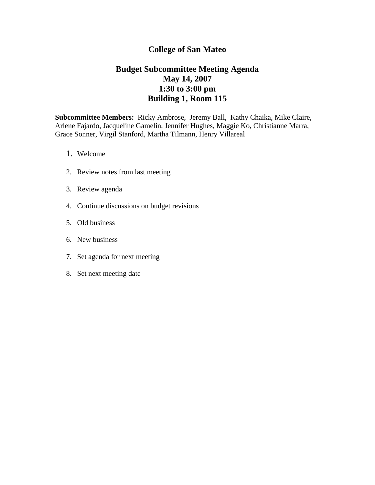### **Budget Subcommittee Meeting Agenda May 14, 2007 1:30 to 3:00 pm Building 1, Room 115**

- 1. Welcome
- 2. Review notes from last meeting
- 3. Review agenda
- 4. Continue discussions on budget revisions
- 5. Old business
- 6. New business
- 7. Set agenda for next meeting
- 8. Set next meeting date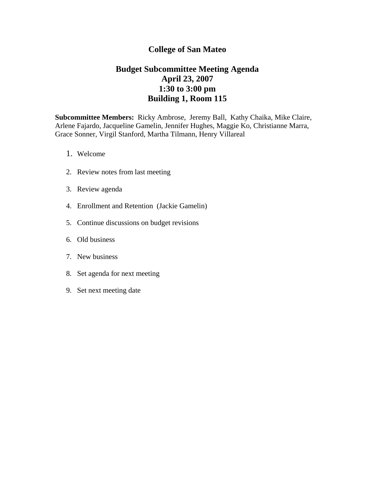### **Budget Subcommittee Meeting Agenda April 23, 2007 1:30 to 3:00 pm Building 1, Room 115**

- 1. Welcome
- 2. Review notes from last meeting
- 3. Review agenda
- 4. Enrollment and Retention (Jackie Gamelin)
- 5. Continue discussions on budget revisions
- 6. Old business
- 7. New business
- 8. Set agenda for next meeting
- 9. Set next meeting date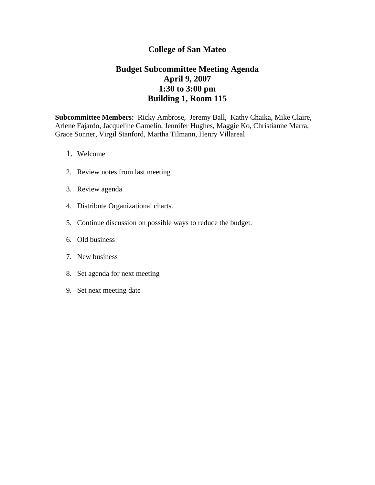### **Budget Subcommittee Meeting Agenda April 9, 2007 1:30 to 3:00 pm Building 1, Room 115**

- 1. Welcome
- 2. Review notes from last meeting
- 3. Review agenda
- 4. Distribute Organizational charts.
- 5. Continue discussion on possible ways to reduce the budget.
- 6. Old business
- 7. New business
- 8. Set agenda for next meeting
- 9. Set next meeting date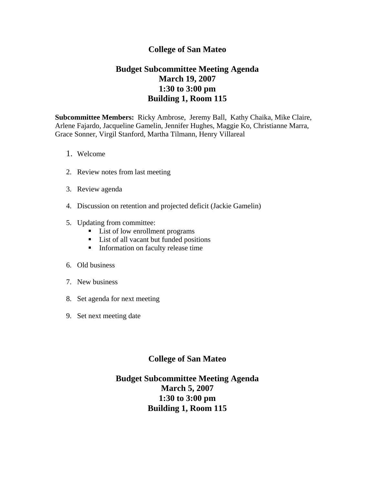### **Budget Subcommittee Meeting Agenda March 19, 2007 1:30 to 3:00 pm Building 1, Room 115**

**Subcommittee Members:** Ricky Ambrose, Jeremy Ball, Kathy Chaika, Mike Claire, Arlene Fajardo, Jacqueline Gamelin, Jennifer Hughes, Maggie Ko, Christianne Marra, Grace Sonner, Virgil Stanford, Martha Tilmann, Henry Villareal

- 1. Welcome
- 2. Review notes from last meeting
- 3. Review agenda
- 4. Discussion on retention and projected deficit (Jackie Gamelin)
- 5. Updating from committee:
	- **List of low enrollment programs**
	- List of all vacant but funded positions
	- **Information on faculty release time**
- 6. Old business
- 7. New business
- 8. Set agenda for next meeting
- 9. Set next meeting date

#### **College of San Mateo**

# **Budget Subcommittee Meeting Agenda March 5, 2007 1:30 to 3:00 pm Building 1, Room 115**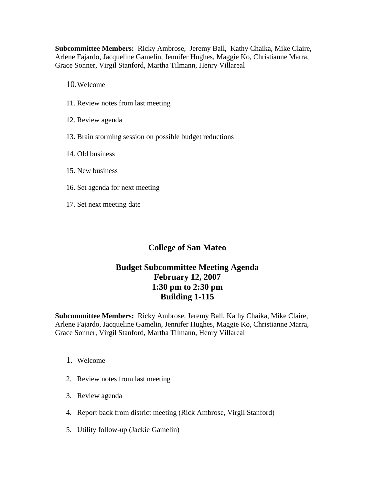**Subcommittee Members:** Ricky Ambrose, Jeremy Ball, Kathy Chaika, Mike Claire, Arlene Fajardo, Jacqueline Gamelin, Jennifer Hughes, Maggie Ko, Christianne Marra, Grace Sonner, Virgil Stanford, Martha Tilmann, Henry Villareal

10.Welcome

- 11. Review notes from last meeting
- 12. Review agenda
- 13. Brain storming session on possible budget reductions
- 14. Old business
- 15. New business
- 16. Set agenda for next meeting
- 17. Set next meeting date

### **College of San Mateo**

# **Budget Subcommittee Meeting Agenda February 12, 2007 1:30 pm to 2:30 pm Building 1-115**

- 1. Welcome
- 2. Review notes from last meeting
- 3. Review agenda
- 4. Report back from district meeting (Rick Ambrose, Virgil Stanford)
- 5. Utility follow-up (Jackie Gamelin)